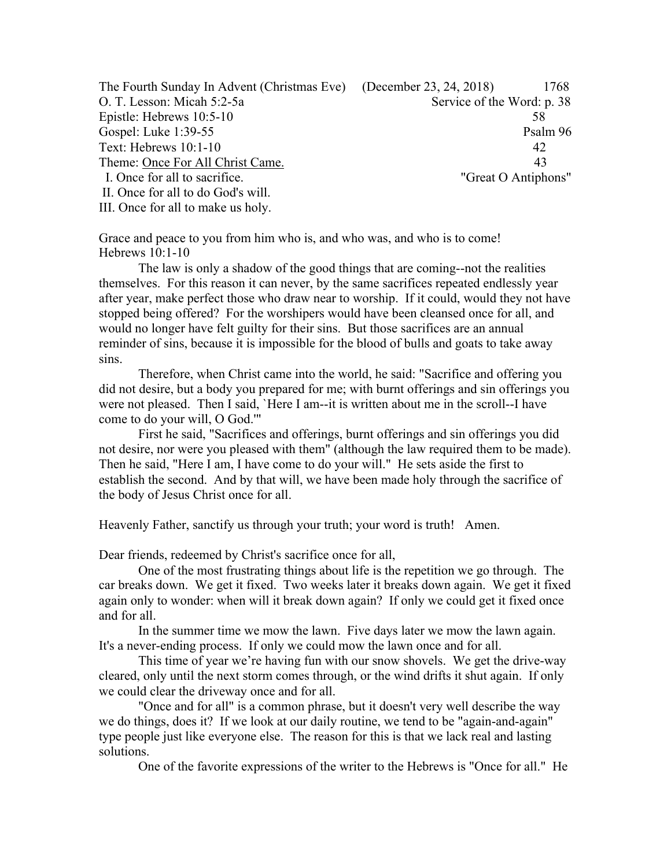| The Fourth Sunday In Advent (Christmas Eve) (December 23, 24, 2018) | 1768                       |  |
|---------------------------------------------------------------------|----------------------------|--|
| O. T. Lesson: Micah 5:2-5a                                          | Service of the Word: p. 38 |  |
| Epistle: Hebrews 10:5-10                                            | 58                         |  |
| Gospel: Luke 1:39-55                                                | Psalm 96                   |  |
| Text: Hebrews 10:1-10                                               | 42                         |  |
| Theme: Once For All Christ Came.                                    | 43                         |  |
| I. Once for all to sacrifice.                                       | "Great O Antiphons"        |  |
| II. Once for all to do God's will.                                  |                            |  |
| III. Once for all to make us holy.                                  |                            |  |

Grace and peace to you from him who is, and who was, and who is to come! Hebrews 10:1-10

The law is only a shadow of the good things that are coming--not the realities themselves. For this reason it can never, by the same sacrifices repeated endlessly year after year, make perfect those who draw near to worship. If it could, would they not have stopped being offered? For the worshipers would have been cleansed once for all, and would no longer have felt guilty for their sins. But those sacrifices are an annual reminder of sins, because it is impossible for the blood of bulls and goats to take away sins.

Therefore, when Christ came into the world, he said: "Sacrifice and offering you did not desire, but a body you prepared for me; with burnt offerings and sin offerings you were not pleased. Then I said, `Here I am--it is written about me in the scroll--I have come to do your will, O God.'"

First he said, "Sacrifices and offerings, burnt offerings and sin offerings you did not desire, nor were you pleased with them" (although the law required them to be made). Then he said, "Here I am, I have come to do your will." He sets aside the first to establish the second. And by that will, we have been made holy through the sacrifice of the body of Jesus Christ once for all.

Heavenly Father, sanctify us through your truth; your word is truth! Amen.

Dear friends, redeemed by Christ's sacrifice once for all,

One of the most frustrating things about life is the repetition we go through. The car breaks down. We get it fixed. Two weeks later it breaks down again. We get it fixed again only to wonder: when will it break down again? If only we could get it fixed once and for all.

In the summer time we mow the lawn. Five days later we mow the lawn again. It's a never-ending process. If only we could mow the lawn once and for all.

This time of year we're having fun with our snow shovels. We get the drive-way cleared, only until the next storm comes through, or the wind drifts it shut again. If only we could clear the driveway once and for all.

"Once and for all" is a common phrase, but it doesn't very well describe the way we do things, does it? If we look at our daily routine, we tend to be "again-and-again" type people just like everyone else. The reason for this is that we lack real and lasting solutions.

One of the favorite expressions of the writer to the Hebrews is "Once for all." He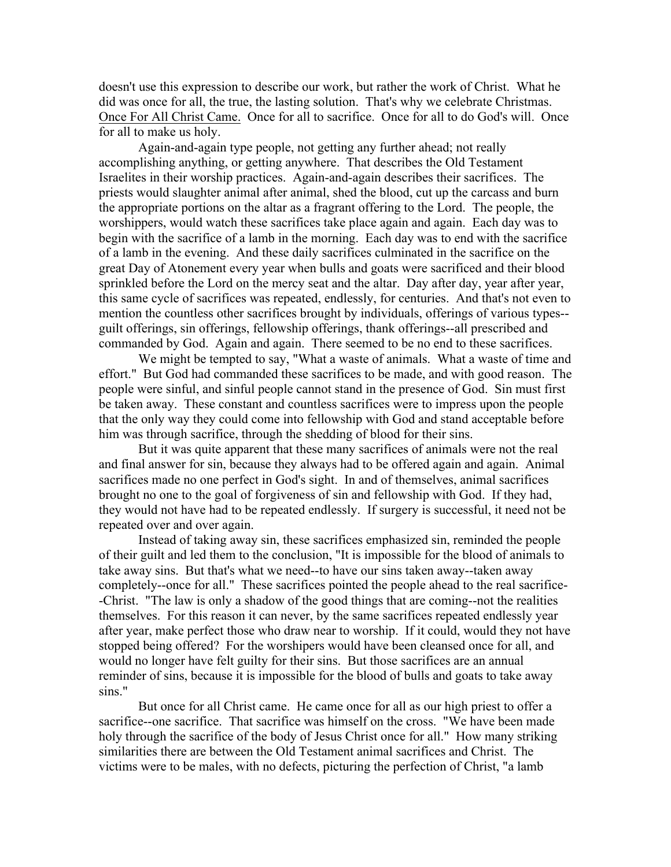doesn't use this expression to describe our work, but rather the work of Christ. What he did was once for all, the true, the lasting solution. That's why we celebrate Christmas. Once For All Christ Came. Once for all to sacrifice. Once for all to do God's will. Once for all to make us holy.

Again-and-again type people, not getting any further ahead; not really accomplishing anything, or getting anywhere. That describes the Old Testament Israelites in their worship practices. Again-and-again describes their sacrifices. The priests would slaughter animal after animal, shed the blood, cut up the carcass and burn the appropriate portions on the altar as a fragrant offering to the Lord. The people, the worshippers, would watch these sacrifices take place again and again. Each day was to begin with the sacrifice of a lamb in the morning. Each day was to end with the sacrifice of a lamb in the evening. And these daily sacrifices culminated in the sacrifice on the great Day of Atonement every year when bulls and goats were sacrificed and their blood sprinkled before the Lord on the mercy seat and the altar. Day after day, year after year, this same cycle of sacrifices was repeated, endlessly, for centuries. And that's not even to mention the countless other sacrifices brought by individuals, offerings of various types- guilt offerings, sin offerings, fellowship offerings, thank offerings--all prescribed and commanded by God. Again and again. There seemed to be no end to these sacrifices.

We might be tempted to say, "What a waste of animals. What a waste of time and effort." But God had commanded these sacrifices to be made, and with good reason. The people were sinful, and sinful people cannot stand in the presence of God. Sin must first be taken away. These constant and countless sacrifices were to impress upon the people that the only way they could come into fellowship with God and stand acceptable before him was through sacrifice, through the shedding of blood for their sins.

But it was quite apparent that these many sacrifices of animals were not the real and final answer for sin, because they always had to be offered again and again. Animal sacrifices made no one perfect in God's sight. In and of themselves, animal sacrifices brought no one to the goal of forgiveness of sin and fellowship with God. If they had, they would not have had to be repeated endlessly. If surgery is successful, it need not be repeated over and over again.

Instead of taking away sin, these sacrifices emphasized sin, reminded the people of their guilt and led them to the conclusion, "It is impossible for the blood of animals to take away sins. But that's what we need--to have our sins taken away--taken away completely--once for all." These sacrifices pointed the people ahead to the real sacrifice- -Christ. "The law is only a shadow of the good things that are coming--not the realities themselves. For this reason it can never, by the same sacrifices repeated endlessly year after year, make perfect those who draw near to worship. If it could, would they not have stopped being offered? For the worshipers would have been cleansed once for all, and would no longer have felt guilty for their sins. But those sacrifices are an annual reminder of sins, because it is impossible for the blood of bulls and goats to take away sins."

But once for all Christ came. He came once for all as our high priest to offer a sacrifice--one sacrifice. That sacrifice was himself on the cross. "We have been made holy through the sacrifice of the body of Jesus Christ once for all." How many striking similarities there are between the Old Testament animal sacrifices and Christ. The victims were to be males, with no defects, picturing the perfection of Christ, "a lamb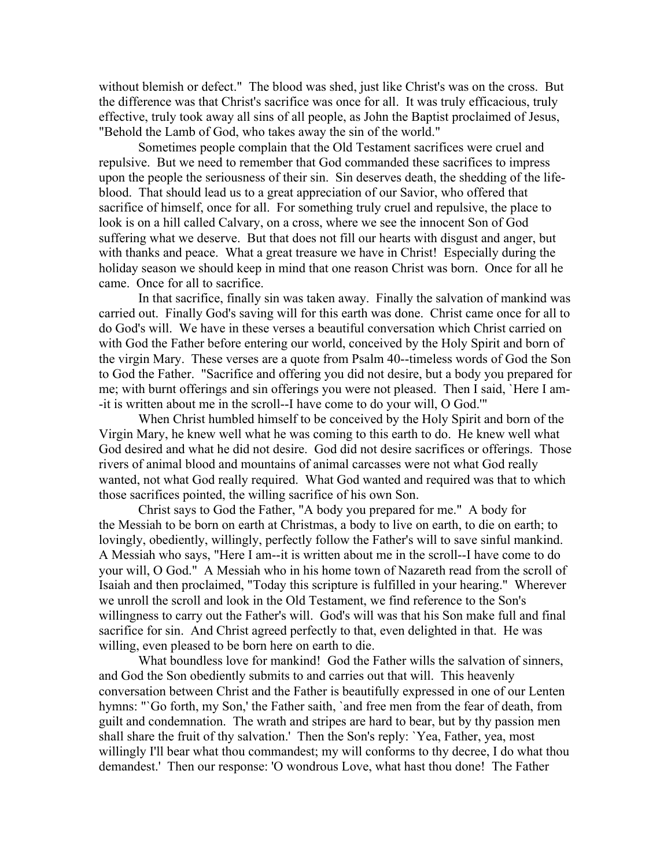without blemish or defect." The blood was shed, just like Christ's was on the cross. But the difference was that Christ's sacrifice was once for all. It was truly efficacious, truly effective, truly took away all sins of all people, as John the Baptist proclaimed of Jesus, "Behold the Lamb of God, who takes away the sin of the world."

Sometimes people complain that the Old Testament sacrifices were cruel and repulsive. But we need to remember that God commanded these sacrifices to impress upon the people the seriousness of their sin. Sin deserves death, the shedding of the lifeblood. That should lead us to a great appreciation of our Savior, who offered that sacrifice of himself, once for all. For something truly cruel and repulsive, the place to look is on a hill called Calvary, on a cross, where we see the innocent Son of God suffering what we deserve. But that does not fill our hearts with disgust and anger, but with thanks and peace. What a great treasure we have in Christ! Especially during the holiday season we should keep in mind that one reason Christ was born. Once for all he came. Once for all to sacrifice.

In that sacrifice, finally sin was taken away. Finally the salvation of mankind was carried out. Finally God's saving will for this earth was done. Christ came once for all to do God's will. We have in these verses a beautiful conversation which Christ carried on with God the Father before entering our world, conceived by the Holy Spirit and born of the virgin Mary. These verses are a quote from Psalm 40--timeless words of God the Son to God the Father. "Sacrifice and offering you did not desire, but a body you prepared for me; with burnt offerings and sin offerings you were not pleased. Then I said, `Here I am- -it is written about me in the scroll--I have come to do your will, O God.'"

When Christ humbled himself to be conceived by the Holy Spirit and born of the Virgin Mary, he knew well what he was coming to this earth to do. He knew well what God desired and what he did not desire. God did not desire sacrifices or offerings. Those rivers of animal blood and mountains of animal carcasses were not what God really wanted, not what God really required. What God wanted and required was that to which those sacrifices pointed, the willing sacrifice of his own Son.

Christ says to God the Father, "A body you prepared for me." A body for the Messiah to be born on earth at Christmas, a body to live on earth, to die on earth; to lovingly, obediently, willingly, perfectly follow the Father's will to save sinful mankind. A Messiah who says, "Here I am--it is written about me in the scroll--I have come to do your will, O God." A Messiah who in his home town of Nazareth read from the scroll of Isaiah and then proclaimed, "Today this scripture is fulfilled in your hearing." Wherever we unroll the scroll and look in the Old Testament, we find reference to the Son's willingness to carry out the Father's will. God's will was that his Son make full and final sacrifice for sin. And Christ agreed perfectly to that, even delighted in that. He was willing, even pleased to be born here on earth to die.

What boundless love for mankind! God the Father wills the salvation of sinners, and God the Son obediently submits to and carries out that will. This heavenly conversation between Christ and the Father is beautifully expressed in one of our Lenten hymns: "`Go forth, my Son,' the Father saith, `and free men from the fear of death, from guilt and condemnation. The wrath and stripes are hard to bear, but by thy passion men shall share the fruit of thy salvation.' Then the Son's reply: `Yea, Father, yea, most willingly I'll bear what thou commandest; my will conforms to thy decree, I do what thou demandest.' Then our response: 'O wondrous Love, what hast thou done! The Father